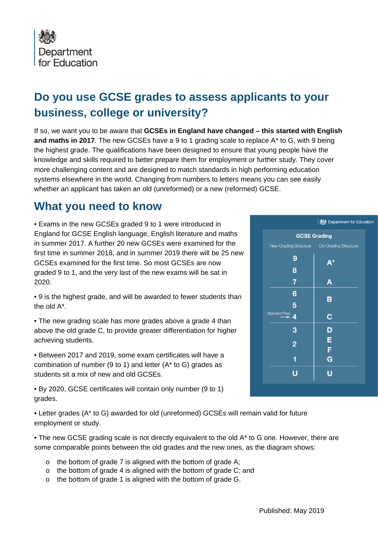

## **Do you use GCSE grades to assess applicants to your business, college or university?**

If so, we want you to be aware that **GCSEs in England have changed – this started with English and maths in 2017**. The new GCSEs have a 9 to 1 grading scale to replace A\* to G, with 9 being the highest grade. The qualifications have been designed to ensure that young people have the knowledge and skills required to better prepare them for employment or further study. They cover more challenging content and are designed to match standards in high performing education systems elsewhere in the world. Changing from numbers to letters means you can see easily whether an applicant has taken an old (unreformed) or a new (reformed) GCSE.

## **What you need to know**

• Exams in the new GCSEs graded 9 to 1 were introduced in England for GCSE English language, English literature and maths in summer 2017. A further 20 new GCSEs were examined for the first time in summer 2018, and in summer 2019 there will be 25 new GCSEs examined for the first time. So most GCSEs are now graded 9 to 1, and the very last of the new exams will be sat in 2020.

• 9 is the highest grade, and will be awarded to fewer students than the old A\*.

• The new grading scale has more grades above a grade 4 than above the old grade C, to provide greater differentiation for higher achieving students.

• Between 2017 and 2019, some exam certificates will have a combination of number (9 to 1) and letter (A\* to G) grades as students sit a mix of new and old GCSEs.

• By 2020, GCSE certificates will contain only number (9 to 1) grades.

• Letter grades (A\* to G) awarded for old (unreformed) GCSEs will remain valid for future employment or study.

• The new GCSE grading scale is not directly equivalent to the old A\* to G one. However, there are some comparable points between the old grades and the new ones, as the diagram shows:

- o the bottom of grade 7 is aligned with the bottom of grade A;
- o the bottom of grade 4 is aligned with the bottom of grade C; and
- o the bottom of grade 1 is aligned with the bottom of grade G.

|                     | Department for Educat |
|---------------------|-----------------------|
| <b>GCSE Grading</b> |                       |
|                     |                       |
| 9                   | A*                    |
| 8                   |                       |
| $\overline{7}$      | Α                     |
| 6                   | B                     |
| $\overline{5}$      |                       |
| Standard Pass<br>4  | $\mathbf C$           |
| 3                   | D                     |
| $\overline{2}$      | E                     |
|                     | F                     |
| 1                   | G                     |
|                     | Ū                     |
|                     |                       |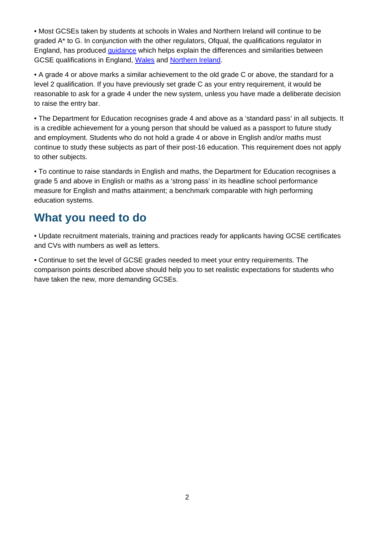• Most GCSEs taken by students at schools in Wales and Northern Ireland will continue to be graded A\* to G. In conjunction with the other regulators, Ofqual, the qualifications regulator in England, has produced [guidance](https://www.gov.uk/government/publications/gcse-and-a-level-differences-in-england-wales-and-northern-ireland) which helps explain the differences and similarities between GCSE qualifications in England, [Wales](https://www.qualificationswales.org/english/qualifications/gcses-and-a-levels/gcses/) and [Northern Ireland.](http://ccea.org.uk/regulation/gcse_grading)

• A grade 4 or above marks a similar achievement to the old grade C or above, the standard for a level 2 qualification. If you have previously set grade C as your entry requirement, it would be reasonable to ask for a grade 4 under the new system, unless you have made a deliberate decision to raise the entry bar.

• The Department for Education recognises grade 4 and above as a 'standard pass' in all subjects. It is a credible achievement for a young person that should be valued as a passport to future study and employment. Students who do not hold a grade 4 or above in English and/or maths must continue to study these subjects as part of their post-16 education. This requirement does not apply to other subjects.

• To continue to raise standards in English and maths, the Department for Education recognises a grade 5 and above in English or maths as a 'strong pass' in its headline school performance measure for English and maths attainment; a benchmark comparable with high performing education systems.

## **What you need to do**

• Update recruitment materials, training and practices ready for applicants having GCSE certificates and CVs with numbers as well as letters.

• Continue to set the level of GCSE grades needed to meet your entry requirements. The comparison points described above should help you to set realistic expectations for students who have taken the new, more demanding GCSEs.